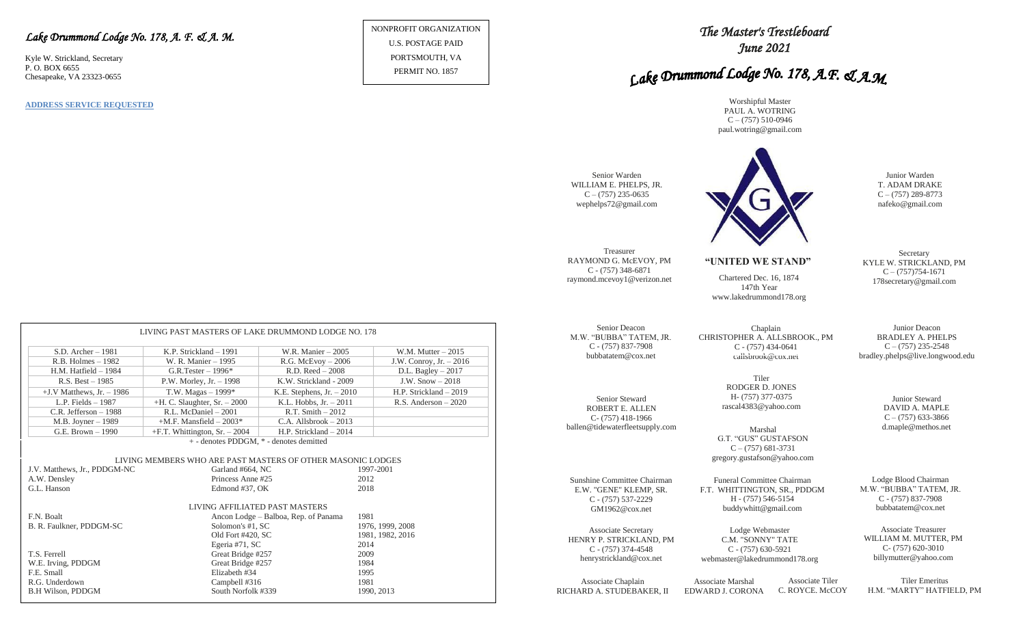### *Lake Drummond Lodge No. 178, A. F. & A. M.*

Kyle W. Strickland, Secretary P. O. BOX 6655 Chesapeake, VA 23323-0655

**ADDRESS SERVICE REQUESTED**

NONPROFIT ORGANIZATION U.S. POSTAGE PAID PORTSMOUTH, VA PERMIT NO. 1857

#### *The Master's Trestleboard June 2021*

# Lake Drummond Lodge No. 178, A.F. & A.M.

Worshipful Master PAUL A. WOTRING  $C - (757)$  510-0946 paul.wotring@gmail.com



| $C - (151) 289 - 8113$<br>nafeko@gmail.com |
|--------------------------------------------|
|                                            |
|                                            |

KYLE W. STRICKLAND, PM  $C - (757)754-1671$ 178secretary@gmail.com

Junior Deacon BRADLEY A. PHELPS  $C - (757)$  235-2548 bradley.phelps@live.longwood.edu

> Junior Steward DAVID A. MAPLE  $C - (757)$  633-3866

Lodge Blood Chairman M.W. "BUBBA" TATEM, JR. C - (757) 837-7908 bubbatatem@cox.net

Associate Treasurer WILLIAM M. MUTTER, PM C- (757) 620-3010 billymutter@yahoo.com

| Associate Chaplain        |  |
|---------------------------|--|
| RICHARD A. STUDEBAKER, II |  |

henrystrickland@cox.net

Associate Marshal EDWARD J. CORONA Associate Tiler C. ROYCE. McCOY

webmaster@lakedrummond178.org

Tiler Emeritus H.M. "MARTY" HATFIELD, PM

|                                 | LIVING PAST MASTERS OF LAKE DRUMMOND LODGE NO. 178                                                     |                                      |                          |  |
|---------------------------------|--------------------------------------------------------------------------------------------------------|--------------------------------------|--------------------------|--|
| $S.D.$ Archer $-1981$           | K.P. Strickland $-1991$                                                                                | W.R. Manier $-2005$                  | W.M. Mutter $-2015$      |  |
| $R.B.$ Holmes $-1982$           | W. R. Manier - 1995<br>$R.G.$ McEvoy $-2006$                                                           |                                      | J.W. Conroy, Jr. $-2016$ |  |
| $H.M.$ Hatfield $-1984$         | $G.R.Tester-1996*$                                                                                     | $R.D. Reed - 2008$                   | D.L. Bagley $-2017$      |  |
| $R.S. Best - 1985$              | P.W. Morley, Jr. $-1998$                                                                               | K.W. Strickland - 2009               | J.W. $Show - 2018$       |  |
| $+J.V$ Matthews, Jr. $-1986$    | T.W. Magas $-1999*$                                                                                    | K.E. Stephens, $Jr. - 2010$          | H.P. Strickland - 2019   |  |
| L.P. Fields $-1987$             | $+H$ . C. Slaughter, Sr. $-2000$                                                                       | K.L. Hobbs, $Jr. - 2011$             | R.S. Anderson $-2020$    |  |
| $C.R.$ Jefferson $-1988$        | R.L. McDaniel - 2001                                                                                   | R.T. Smith $-2012$                   |                          |  |
| $M.B.$ Joyner $-1989$           | $+$ M.F. Mansfield $-$ 2003*                                                                           | $C.A.$ Allsbrook $-2013$             |                          |  |
| G.E. Brown - 1990               | $+F.T.$ Whittington, Sr. $-2004$                                                                       | H.P. Strickland - 2014               |                          |  |
|                                 | + - denotes PDDGM, * - denotes demitted<br>LIVING MEMBERS WHO ARE PAST MASTERS OF OTHER MASONIC LODGES |                                      |                          |  |
| J.V. Matthews, Jr., PDDGM-NC    | Garland #664, NC                                                                                       |                                      | 1997-2001                |  |
| A.W. Densley                    | Princess Anne #25                                                                                      |                                      | 2012                     |  |
| G.L. Hanson                     | Edmond #37, OK                                                                                         |                                      | 2018                     |  |
|                                 | LIVING AFFILIATED PAST MASTERS                                                                         |                                      |                          |  |
| F.N. Boalt                      |                                                                                                        | Ancon Lodge – Balboa, Rep. of Panama | 1981                     |  |
| B. R. Faulkner, PDDGM-SC        | Solomon's #1, SC                                                                                       |                                      | 1976, 1999, 2008         |  |
|                                 | Old Fort #420, SC                                                                                      |                                      | 1981, 1982, 2016         |  |
|                                 | Egeria #71, SC                                                                                         |                                      | 2014                     |  |
| T.S. Ferrell                    | Great Bridge #257                                                                                      |                                      | 2009                     |  |
| W.E. Irving, PDDGM              | Great Bridge #257                                                                                      |                                      | 1984                     |  |
| Elizabeth #34<br>F.E. Small     |                                                                                                        |                                      | 1995                     |  |
| R.G. Underdown<br>Campbell #316 |                                                                                                        |                                      | 1981                     |  |

B.H Wilson, PDDGM South Norfolk #339 1990, 2013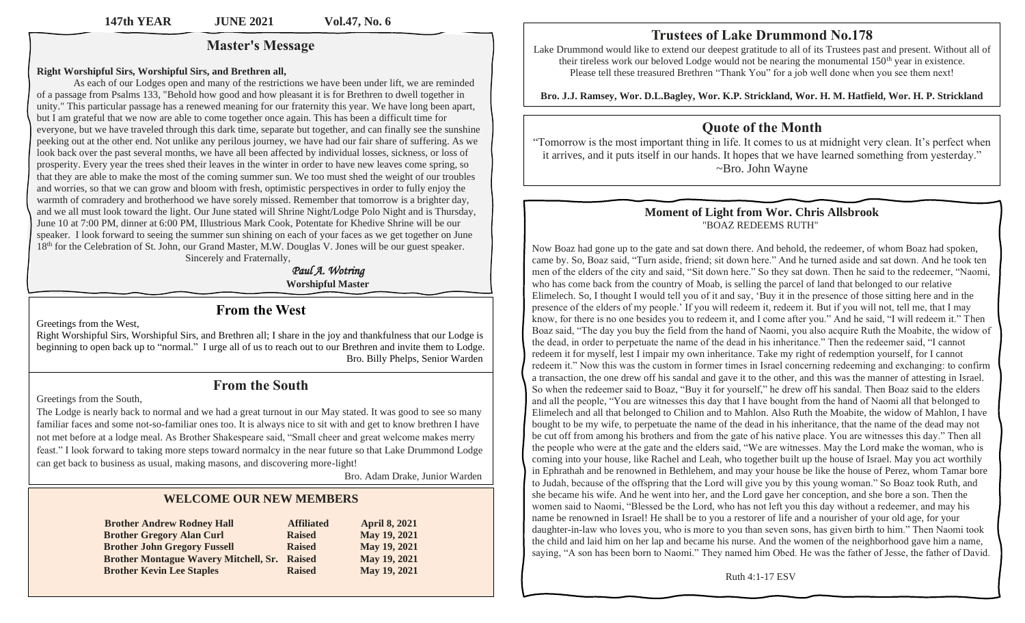# **Master's Message**

#### **Right Worshipful Sirs, Worshipful Sirs, and Brethren all,**

As each of our Lodges open and many of the restrictions we have been under lift, we are reminded of a passage from Psalms 133, "Behold how good and how pleasant it is for Brethren to dwell together in unity." This particular passage has a renewed meaning for our fraternity this year. We have long been apart, but I am grateful that we now are able to come together once again. This has been a difficult time for everyone, but we have traveled through this dark time, separate but together, and can finally see the sunshine peeking out at the other end. Not unlike any perilous journey, we have had our fair share of suffering. As we look back over the past several months, we have all been affected by individual losses, sickness, or loss of prosperity. Every year the trees shed their leaves in the winter in order to have new leaves come spring, so that they are able to make the most of the coming summer sun. We too must shed the weight of our troubles and worries, so that we can grow and bloom with fresh, optimistic perspectives in order to fully enjoy the warmth of comradery and brotherhood we have sorely missed. Remember that tomorrow is a brighter day, and we all must look toward the light. Our June stated will Shrine Night/Lodge Polo Night and is Thursday, June 10 at 7:00 PM, dinner at 6:00 PM, Illustrious Mark Cook, Potentate for Khedive Shrine will be our speaker. I look forward to seeing the summer sun shining on each of your faces as we get together on June 18th for the Celebration of St. John, our Grand Master, M.W. Douglas V. Jones will be our guest speaker. Sincerely and Fraternally,

 *Paul A. Wotring*  **Worshipful Master**

# **From the West**

Greetings from the West,

Right Worshipful Sirs, Worshipful Sirs, and Brethren all; I share in the joy and thankfulness that our Lodge is beginning to open back up to "normal." I urge all of us to reach out to our Brethren and invite them to Lodge. Bro. Billy Phelps, Senior Warden

# **From the South**

Greetings from the South,

The Lodge is nearly back to normal and we had a great turnout in our May stated. It was good to see so many familiar faces and some not-so-familiar ones too. It is always nice to sit with and get to know brethren I have not met before at a lodge meal. As Brother Shakespeare said, "Small cheer and great welcome makes merry feast." I look forward to taking more steps toward normalcy in the near future so that Lake Drummond Lodge can get back to business as usual, making masons, and discovering more-light!

Bro. Adam Drake, Junior Warden

## **WELCOME OUR NEW MEMBERS**

| <b>Brother Andrew Rodney Hall</b>            | <b>Affiliated</b> | <b>April 8, 2021</b> |
|----------------------------------------------|-------------------|----------------------|
| <b>Brother Gregory Alan Curl</b>             | <b>Raised</b>     | May 19, 2021         |
| <b>Brother John Gregory Fussell</b>          | <b>Raised</b>     | May 19, 2021         |
| <b>Brother Montague Wavery Mitchell, Sr.</b> | <b>Raised</b>     | May 19, 2021         |
| <b>Brother Kevin Lee Staples</b>             | <b>Raised</b>     | May 19, 2021         |

# **Trustees of Lake Drummond No.178**

Lake Drummond would like to extend our deepest gratitude to all of its Trustees past and present. Without all of their tireless work our beloved Lodge would not be nearing the monumental 150<sup>th</sup> year in existence. Please tell these treasured Brethren "Thank You" for a job well done when you see them next!

**Bro. J.J. Ramsey, Wor. D.L.Bagley, Wor. K.P. Strickland, Wor. H. M. Hatfield, Wor. H. P. Strickland**

# **Quote of the Month**

"Tomorrow is the most important thing in life. It comes to us at midnight very clean. It's perfect when it arrives, and it puts itself in our hands. It hopes that we have learned something from yesterday." ~Bro. John Wayne

### **Moment of Light from Wor. Chris Allsbrook** "BOAZ REDEEMS RUTH"

Now Boaz had gone up to the gate and sat down there. And behold, the redeemer, of whom Boaz had spoken, came by. So, Boaz said, "Turn aside, friend; sit down here." And he turned aside and sat down. And he took ten men of the elders of the city and said, "Sit down here." So they sat down. Then he said to the redeemer, "Naomi, who has come back from the country of Moab, is selling the parcel of land that belonged to our relative Elimelech. So, I thought I would tell you of it and say, 'Buy it in the presence of those sitting here and in the presence of the elders of my people.' If you will redeem it, redeem it. But if you will not, tell me, that I may know, for there is no one besides you to redeem it, and I come after you." And he said, "I will redeem it." Then Boaz said, "The day you buy the field from the hand of Naomi, you also acquire Ruth the Moabite, the widow of the dead, in order to perpetuate the name of the dead in his inheritance." Then the redeemer said, "I cannot redeem it for myself, lest I impair my own inheritance. Take my right of redemption yourself, for I cannot redeem it." Now this was the custom in former times in Israel concerning redeeming and exchanging: to confirm a transaction, the one drew off his sandal and gave it to the other, and this was the manner of attesting in Israel. So when the redeemer said to Boaz, "Buy it for yourself," he drew off his sandal. Then Boaz said to the elders and all the people, "You are witnesses this day that I have bought from the hand of Naomi all that belonged to Elimelech and all that belonged to Chilion and to Mahlon. Also Ruth the Moabite, the widow of Mahlon, I have bought to be my wife, to perpetuate the name of the dead in his inheritance, that the name of the dead may not be cut off from among his brothers and from the gate of his native place. You are witnesses this day." Then all the people who were at the gate and the elders said, "We are witnesses. May the Lord make the woman, who is coming into your house, like Rachel and Leah, who together built up the house of Israel. May you act worthily in Ephrathah and be renowned in Bethlehem, and may your house be like the house of Perez, whom Tamar bore to Judah, because of the offspring that the Lord will give you by this young woman." So Boaz took Ruth, and she became his wife. And he went into her, and the Lord gave her conception, and she bore a son. Then the women said to Naomi, "Blessed be the Lord, who has not left you this day without a redeemer, and may his name be renowned in Israel! He shall be to you a restorer of life and a nourisher of your old age, for your daughter-in-law who loves you, who is more to you than seven sons, has given birth to him." Then Naomi took the child and laid him on her lap and became his nurse. And the women of the neighborhood gave him a name, saying, "A son has been born to Naomi." They named him Obed. He was the father of Jesse, the father of David.

Ruth 4:1-17 ESV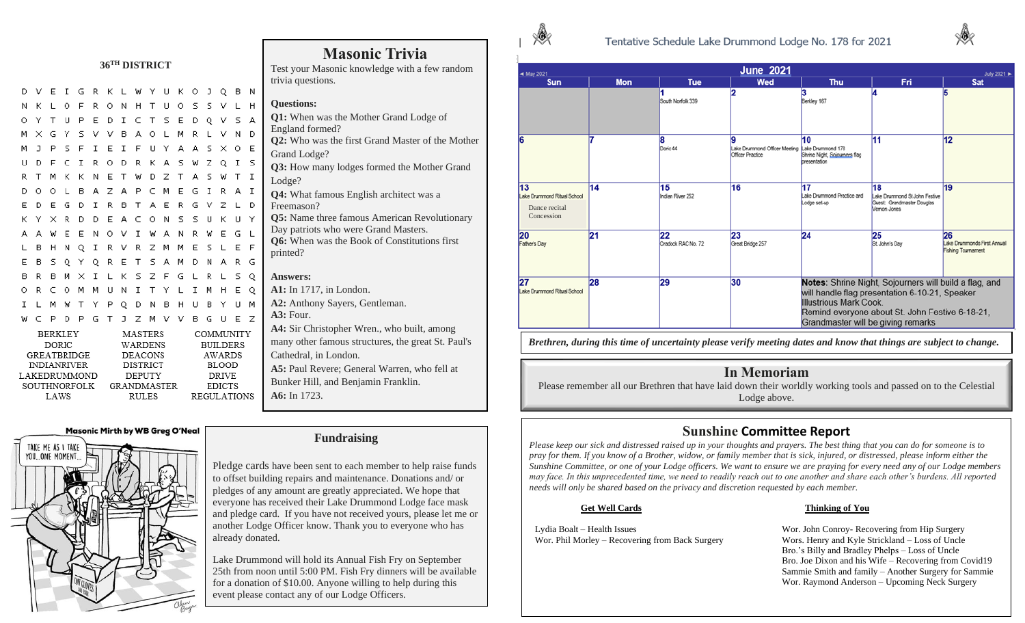#### **36TH DISTRICT**

W Y U  $\mathbf{T}$ G. R K L K O  $\Box$ O B N **RONHTUOSS**  $\circ$  $\mathsf{F}$ V L H P E D I C T S E D O  $S$  A v **VBAOLMRL** v N<sub>D</sub>  $\leq$  $\leq$ E I F U Y A A S  $\times$  $O$  E D R K A S W Z Q I S  $\subset$ I R O D Z T A S W Z A P C M E G I R A I G D I R B T A E R G V Z L D X R D D E A C O N S S U K LL Y  $\Omega$ ANR G L NO I R V R Z M M E S E F S Q Y Q R E T S A M D N A R G X I L K S Z F G L R L S O Y L  $H$ E O  $\mathbf{H}$ N. I  $\top$  $\mathbf I$ U M P. Q - D N. B. U B P G T J Z M V V B G U E Z **BERKLEY MASTERS** COMMUNITY **DORIC** WARDENS **BUILDERS AWARDS** GREATBRIDGE **DEACONS INDIANRIVER DISTRICT BLOOD DRIVE** LAKEDRUMMOND **DEPUTY** SOUTHNORFOLK GRANDMASTER **EDICTS** 

**RULES** 

REGULATIONS

# **Masonic Trivia**

Test your Masonic knowledge with a few random trivia questions.

#### **Questions:**

**Q1:** When was the Mother Grand Lodge of England formed? **Q2:** Who was the first Grand Master of the Mother Grand Lodge? **Q3:** How many lodges formed the Mother Grand Lodge?

**Q4:** What famous English architect was a Freemason?

**Q5:** Name three famous American Revolutionary Day patriots who were Grand Masters. **Q6:** When was the Book of Constitutions first printed?

#### **Answers:**

**A1:** In 1717, in London.

**A2:** Anthony Sayers, Gentleman. **A3:** Four.

**A4:** Sir Christopher Wren., who built, among many other famous structures, the great St. Paul's Cathedral, in London.

**A5:** Paul Revere; General Warren, who fell at Bunker Hill, and Benjamin Franklin. **A6:** In 1723.

**Masonic Mirth by WB Greg O'Neal** TAKE ME AS I TAKE YOU...ONE MOMENT...

LAWS

#### **Fundraising**

Pledge cards have been sent to each member to help raise funds to offset building repairs and maintenance. Donations and/ or pledges of any amount are greatly appreciated. We hope that everyone has received their Lake Drummond Lodge face mask and pledge card. If you have not received yours, please let me or another Lodge Officer know. Thank you to everyone who has already donated.

Lake Drummond will hold its Annual Fish Fry on September 25th from noon until 5:00 PM. Fish Fry dinners will be available for a donation of \$10.00. Anyone willing to help during this event please contact any of our Lodge Officers.

# Tentative Schedule Lake Drummond Lodge No. 178 for 2021



| <b>June 2021</b><br>July 2021 ><br>4 May 2021                    |            |                          |                                                                     |                                                                                                                                                                                                                                    |                                                                                          |                                                                |
|------------------------------------------------------------------|------------|--------------------------|---------------------------------------------------------------------|------------------------------------------------------------------------------------------------------------------------------------------------------------------------------------------------------------------------------------|------------------------------------------------------------------------------------------|----------------------------------------------------------------|
| <b>Sun</b>                                                       | <b>Mon</b> | Tue                      | <b>Wed</b>                                                          | <b>Thu</b>                                                                                                                                                                                                                         | Fri                                                                                      | Sat                                                            |
|                                                                  |            | South Norfolk 339        |                                                                     | з<br>Berkley 167                                                                                                                                                                                                                   |                                                                                          | 15                                                             |
|                                                                  |            | 8<br>Doric 44            | Lake Drummond Officer Meeting Lake Drummond 178<br>Officer Practice | 10<br>Shrine Night, Sojourners flag<br>presentation                                                                                                                                                                                | 11                                                                                       | 12                                                             |
| 13<br>Lake Drummond Ritual School<br>Dance recital<br>Concession | 14         | 15<br>Indian River 252   | 16                                                                  | 17<br>Lake Drummond Practice and<br>Lodge set-up                                                                                                                                                                                   | 18<br>Lake Drummond St John Festive<br><b>Guest: Grandmaster Douglas</b><br>Vernon Jones | 19                                                             |
| 20<br>Father's Day                                               | 21         | 22<br>Cradock RAC No. 72 | 23<br>Great Bridge 257                                              | 24                                                                                                                                                                                                                                 | 25<br>St. John's Day                                                                     | 26<br>Lake Drummonds First Annual<br><b>Fishing Tournament</b> |
| 127<br>Lake Drummond Ritual School                               | 28         | 29                       | 30                                                                  | Notes: Shrine Night, Sojourners will build a flag, and<br>will handle flag presentation 6-10-21, Speaker<br><b>Illustrious Mark Cook.</b><br>Remind everyone about St. John Festive 6-18-21,<br>Grandmaster will be giving remarks |                                                                                          |                                                                |

*Brethren, during this time of uncertainty please verify meeting dates and know that things are subject to change.* 

#### **In Memoriam**

Please remember all our Brethren that have laid down their worldly working tools and passed on to the Celestial Lodge above.

## **Sunshine Committee Report**

*Please keep our sick and distressed raised up in your thoughts and prayers. The best thing that you can do for someone is to pray for them. If you know of a Brother, widow, or family member that is sick, injured, or distressed, please inform either the Sunshine Committee, or one of your Lodge officers. We want to ensure we are praying for every need any of our Lodge members may face. In this unprecedented time, we need to readily reach out to one another and share each other's burdens. All reported needs will only be shared based on the privacy and discretion requested by each member.* 

Lydia Boalt – Health Issues Wor. Phil Morley – Recovering from Back Surgery

#### **Get Well Cards Thinking of You**

Wor. John Conroy- Recovering from Hip Surgery Wors. Henry and Kyle Strickland – Loss of Uncle Bro.'s Billy and Bradley Phelps – Loss of Uncle Bro. Joe Dixon and his Wife – Recovering from Covid19 Sammie Smith and family – Another Surgery for Sammie Wor. Raymond Anderson – Upcoming Neck Surgery